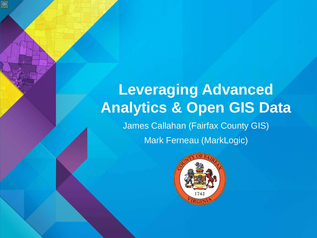# **Leveraging Advanced Analytics & Open GIS Data** James Callahan (Fairfax County GIS) Mark Ferneau (MarkLogic)

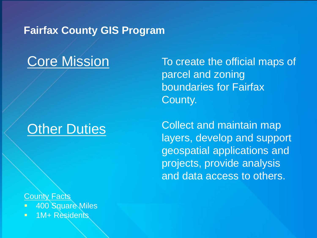### **Fairfax County GIS Program**

## Core Mission

## **Other Duties**

## To create the official maps of parcel and zoning boundaries for Fairfax County.

Collect and maintain map layers, develop and support geospatial applications and projects, provide analysis and data access to others.

County Facts

- 400 Square Miles
- **1M+ Residents**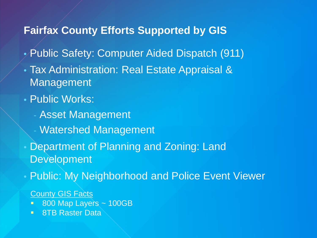## **Fairfax County Efforts Supported by GIS**

- Public Safety: Computer Aided Dispatch (911)
- Tax Administration: Real Estate Appraisal & Management
- Public Works:
	- Asset Management
	- Watershed Management
- Department of Planning and Zoning: Land Development
- Public: My Neighborhood and Police Event Viewer

**County GIS Facts** 

- **800 Map Layers ~ 100GB**
- **BTB Raster Data**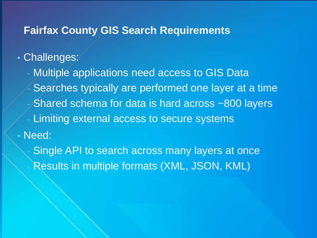#### **Fairfax County GIS Search Requirements**

## • Challenges:

- Multiple applications need access to GIS Data Searches typically are performed one layer at a time Shared schema for data is hard across ~800 layers Limiting external access to secure systems • Need:

Single API to search across many layers at once Results in multiple formats (XML, JSON, KML)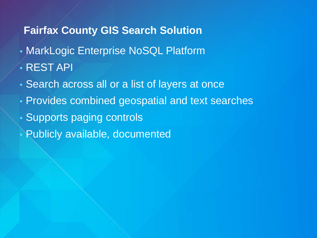## **Fairfax County GIS Search Solution**

- MarkLogic Enterprise NoSQL Platform
- REST API
- Search across all or a list of layers at once
- Provides combined geospatial and text searches
- Supports paging controls
- Publicly available, documented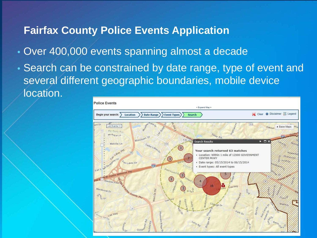### **Fairfax County Police Events Application**

- Over 400,000 events spanning almost a decade
- Search can be constrained by date range, type of event and several different geographic boundaries, mobile device location.

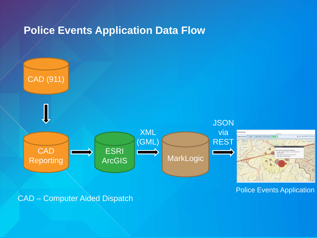## **Police Events Application Data Flow**



Police Events Application

CAD – Computer Aided Dispatch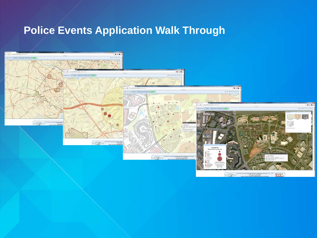## **Police Events Application Walk Through**



**WEB€**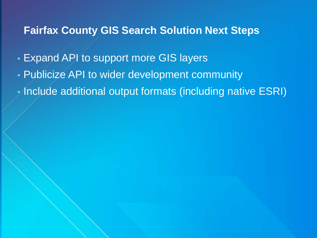#### **Fairfax County GIS Search Solution Next Steps**

- Expand API to support more GIS layers
- Publicize API to wider development community
- Include additional output formats (including native ESRI)